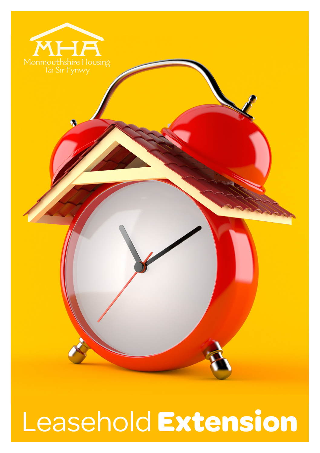

Leasehold **Extension**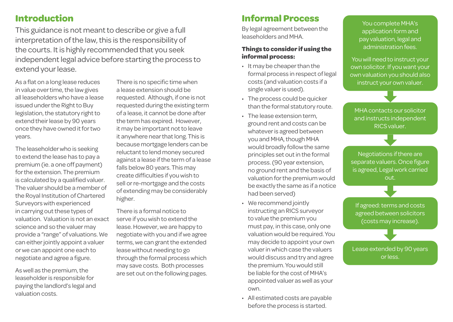## **Introduction**

This guidance is not meant to describe or give a full interpretation of the law, this is the responsibility of the courts. It is highly recommended that you seek independent legal advice before starting the process to extend your lease.

As a flat on a long lease reduces in value over time, the law gives all leaseholders who have a lease issued under the Right to Buy legislation, the statutory right to extend their lease by 90 years once they have owned it for two years.

The leaseholder who is seeking to extend the lease has to pay a premium (ie. a one off payment) for the extension. The premium is calculated by a qualified valuer. The valuer should be a member of the Royal Institution of Chartered Surveyors with experienced in carrying out these types of valuation. Valuation is not an exact science and so the valuer may provide a "range" of valuations. We can either jointly appoint a valuer or we can appoint one each to negotiate and agree a figure.

As well as the premium, the leaseholder is responsible for paying the landlord's legal and valuation costs.

There is no specific time when a lease extension should be requested. Although, if one is not requested during the existing term of a lease, it cannot be done after the term has expired. However, it may be important not to leave it anywhere near that long. This is because mortgage lenders can be reluctant to lend money secured against a lease if the term of a lease falls below 80 years. This may create difficulties if you wish to sell or re-mortgage and the costs of extending may be considerably higher.

There is a formal notice to serve if you wish to extend the lease. However, we are happy to negotiate with you and if we agree terms, we can grant the extended lease without needing to go through the formal process which may save costs. Both processes are set out on the following pages.

## **Informal Process**

By legal agreement between the leaseholders and MHA.

#### **Things to consider if using the informal process:**

- It may be cheaper than the formal process in respect of legal costs (and valuation costs if a single valuer is used).
- The process could be quicker than the formal statutory route.
- The lease extension term, ground rent and costs can be whatever is agreed between you and MHA, though MHA would broadly follow the same principles set out in the formal process. (90 year extension, no ground rent and the basis of valuation for the premium would be exactly the same as if a notice had been served)
- We recommend jointly instructing an RICS surveyor to value the premium you must pay, in this case, only one valuation would be required. You may decide to appoint your own valuer in which case the valuers would discuss and try and agree the premium. You would still be liable for the cost of MHA's appointed valuer as well as your own.
- All estimated costs are payable before the process is started.

You complete MHA's application form and pay valuation, legal and administration fees.

You will need to instruct your own solicitor. If you want your own valuation you should also instruct your own valuer.

MHA contacts our solicitor and instructs independent RICS valuer.

Negotiations if there are separate valuers. Once figure is agreed, Legal work carried out.

If agreed: terms and costs agreed between solicitors (costs may increase).

Lease extended by 90 years or less.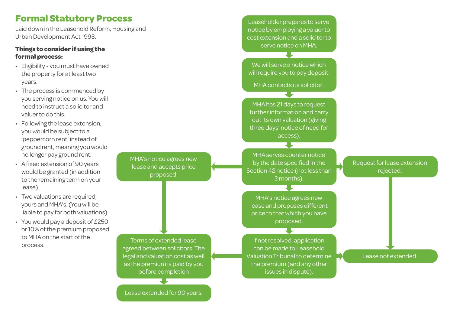## **Formal Statutory Process**

Laid down in the Leasehold Reform, Housing and Urban Development Act 1993.

#### **Things to consider if using the formal process:**

- Eligibility you must have owned the property for at least two years.
- The process is commenced by you serving notice on us. You will need to instruct a solicitor and valuer to do this.
- Following the lease extension, you would be subject to a 'peppercorn rent' instead of ground rent, meaning you would no longer pay ground rent.
- A fixed extension of 90 years would be granted (in addition to the remaining term on your lease).
- Two valuations are required: yours and MHA's. (You will be liable to pay for both valuations).
- You would pay a deposit of £250 or 10% of the premium proposed to MHA on the start of the process.

MHA's notice agrees new lease and accepts price proposed.

Leaseholder prepares to serve notice by employing a valuer to cost extension and a solicitor to serve notice on MHA.

We will serve a notice which will require you to pay deposit.

MHA contacts its solicitor.

MHA has 21 days to request further information and carry out its own valuation (giving three days' notice of need for access).

MHA serves counter notice by the date specified in the Section 42 notice (not less than 2 months).

MHA's notice agrees new lease and proposes different price to that which you have proposed.

If not resolved, application can be made to Leasehold Valuation Tribunal to determine the premium (and any other issues in dispute).

Terms of extended lease agreed between solicitors. The legal and valuation cost as well as the premium is paid by you before completion

Lease extended for 90 years.

Lease not extended.

Request for lease extension rejected.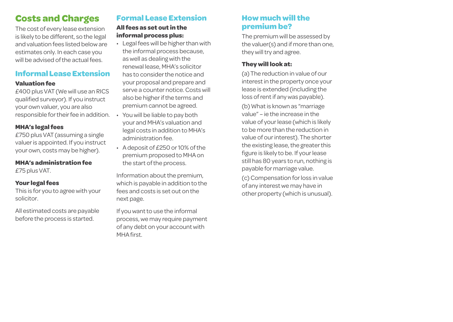# **Costs and Charges**

The cost of every lease extension is likely to be different, so the legal and valuation fees listed below are estimates only. In each case you will be advised of the actual fees.

### **Informal Lease Extension**

#### **Valuation fee**

£400 plus VAT (We will use an RICS qualified surveyor). If you instruct your own valuer, you are also responsible for their fee in addition.

#### **MHA's legal fees**

£750 plus VAT (assuming a single valuer is appointed. If you instruct your own, costs may be higher).

#### **MHA's administration fee** £75 plus VAT.

#### **Your legal fees**

This is for you to agree with your solicitor.

All estimated costs are payable before the process is started.

### **Formal Lease Extension**

#### **All fees as set out in the informal process plus:**

- Legal fees will be higher than with the informal process because, as well as dealing with the renewal lease, MHA's solicitor has to consider the notice and your proposal and prepare and serve a counter notice. Costs will also be higher if the terms and premium cannot be agreed.
- You will be liable to pay both your and MHA's valuation and legal costs in addition to MHA's administration fee.
- A deposit of £250 or 10% of the premium proposed to MHA on the start of the process.

Information about the premium, which is payable in addition to the fees and costs is set out on the next page.

If you want to use the informal process, we may require payment of any debt on your account with MHA first.

### **How much will the premium be?**

The premium will be assessed by the valuer(s) and if more than one, they will try and agree.

#### **They will look at:**

(a) The reduction in value of our interest in the property once your lease is extended (including the loss of rent if any was payable).

(b) What is known as "marriage value" – ie the increase in the value of your lease (which is likely to be more than the reduction in value of our interest). The shorter the existing lease, the greater this figure is likely to be. If your lease still has 80 years to run, nothing is payable for marriage value.

(c) Compensation for loss in value of any interest we may have in other property (which is unusual).